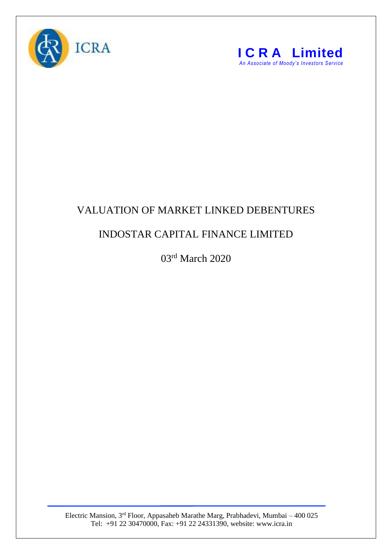



## VALUATION OF MARKET LINKED DEBENTURES

## INDOSTAR CAPITAL FINANCE LIMITED

03rd March 2020

Electric Mansion, 3<sup>rd</sup> Floor, Appasaheb Marathe Marg, Prabhadevi, Mumbai – 400 025 Tel: +91 22 30470000, Fax: +91 22 24331390, website: www.icra.in